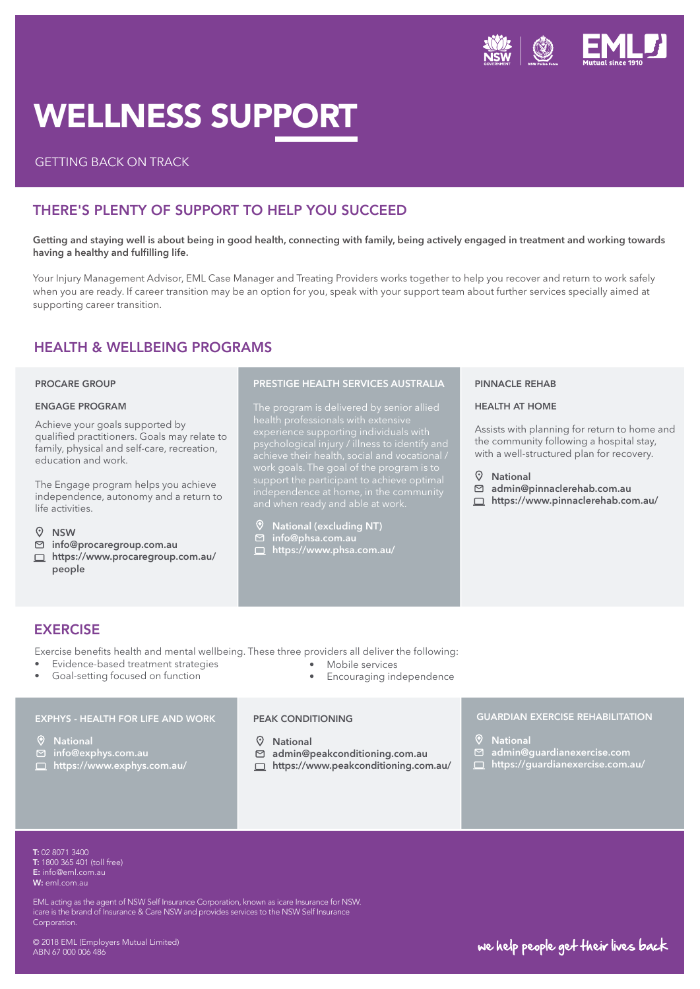

# WELLNESS SUPPORT

### GETTING BACK ON TRACK

## THERE'S PLENTY OF SUPPORT TO HELP YOU SUCCEED

Getting and staying well is about being in good health, connecting with family, being actively engaged in treatment and working towards having a healthy and fulfilling life.

Your Injury Management Advisor, EML Case Manager and Treating Providers works together to help you recover and return to work safely when you are ready. If career transition may be an option for you, speak with your support team about further services specially aimed at supporting career transition.

## HEALTH & WELLBEING PROGRAMS

#### PROCARE GROUP

#### ENGAGE PROGRAM

Achieve your goals supported by qualified practitioners. Goals may relate to family, physical and self-care, recreation, education and work.

The Engage program helps you achieve independence, autonomy and a return to life activities.

- $Q$  NSW
- info@procaregroup.com.au
- □ https://www.procaregroup.com.au/ people

#### PRESTIGE HEALTH SERVICES AUSTRALIA

#### National (excluding NT)

- info@phsa.com.au
- https://www.phsa.com.au/

#### PINNACLE REHAB

#### HEALTH AT HOME

Assists with planning for return to home and the community following a hospital stay, with a well-structured plan for recovery.

#### National

- admin@pinnaclerehab.com.au
- □ https://www.pinnaclerehab.com.au/

## **EXERCISE**

Exercise benefits health and mental wellbeing. These three providers all deliver the following: • Mobile services

- Evidence-based treatment strategies
- Goal-setting focused on function

## EXPHYS - HEALTH FOR LIFE AND WORK

- 
- □ info@exphys.com.au
- https://www.exphys.com.au/

#### PEAK CONDITIONING

- National
- admin@peakconditioning.com.au
- https://www.peakconditioning.com.au/

• Encouraging independence

#### GUARDIAN EXERCISE REHABILITATION

- **V** National
- admin@guardianexercise.com
- https://guardianexercise.com.au/

**T:** 02 8071 3400<br>**T:** 1800 365 401 (toll free) T: 1300 789 978 W: mensline.org.au W: eml.com.au T: 02 8071 3400 E: info@eml.com.au

EML acting as the agent of NSW Self Insurance Corporation, known as icare Insurance for NSW. icare is the brand of Insurance & Care NSW and provides services to the NSW Self Insurance Corporation.

© 2018 EML (Employers Mutual Limited) ABN 67 000 006 486

# we help people get their lives back